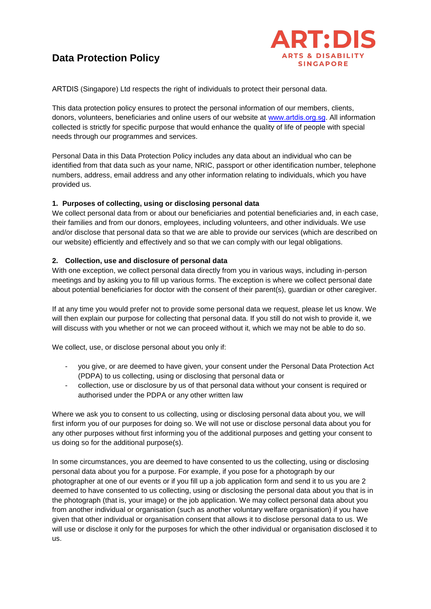# **Data Protection Policy**



ARTDIS (Singapore) Ltd respects the right of individuals to protect their personal data.

This data protection policy ensures to protect the personal information of our members, clients, donors, volunteers, beneficiaries and online users of our website at www.[artdis.org.sg](http://www.artdis.org.sg/). All information collected is strictly for specific purpose that would enhance the quality of life of people with special needs through our programmes and services.

Personal Data in this Data Protection Policy includes any data about an individual who can be identified from that data such as your name, NRIC, passport or other identification number, telephone numbers, address, email address and any other information relating to individuals, which you have provided us.

#### **1. Purposes of collecting, using or disclosing personal data**

We collect personal data from or about our beneficiaries and potential beneficiaries and, in each case, their families and from our donors, employees, including volunteers, and other individuals. We use and/or disclose that personal data so that we are able to provide our services (which are described on our website) efficiently and effectively and so that we can comply with our legal obligations.

## **2. Collection, use and disclosure of personal data**

With one exception, we collect personal data directly from you in various ways, including in-person meetings and by asking you to fill up various forms. The exception is where we collect personal date about potential beneficiaries for doctor with the consent of their parent(s), guardian or other caregiver.

If at any time you would prefer not to provide some personal data we request, please let us know. We will then explain our purpose for collecting that personal data. If you still do not wish to provide it, we will discuss with you whether or not we can proceed without it, which we may not be able to do so.

We collect, use, or disclose personal about you only if:

- you give, or are deemed to have given, your consent under the Personal Data Protection Act (PDPA) to us collecting, using or disclosing that personal data or
- collection, use or disclosure by us of that personal data without your consent is required or authorised under the PDPA or any other written law

Where we ask you to consent to us collecting, using or disclosing personal data about you, we will first inform you of our purposes for doing so. We will not use or disclose personal data about you for any other purposes without first informing you of the additional purposes and getting your consent to us doing so for the additional purpose(s).

In some circumstances, you are deemed to have consented to us the collecting, using or disclosing personal data about you for a purpose. For example, if you pose for a photograph by our photographer at one of our events or if you fill up a job application form and send it to us you are 2 deemed to have consented to us collecting, using or disclosing the personal data about you that is in the photograph (that is, your image) or the job application. We may collect personal data about you from another individual or organisation (such as another voluntary welfare organisation) if you have given that other individual or organisation consent that allows it to disclose personal data to us. We will use or disclose it only for the purposes for which the other individual or organisation disclosed it to us.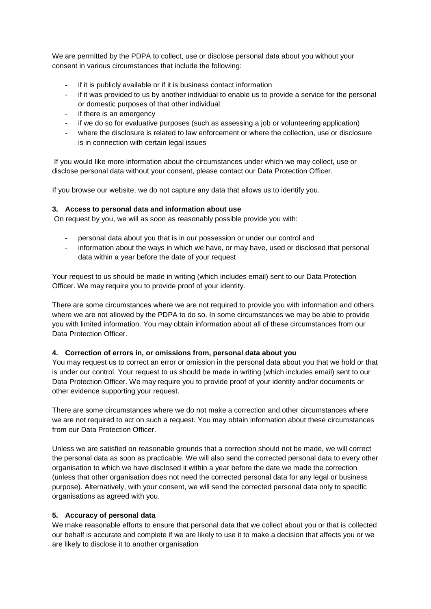We are permitted by the PDPA to collect, use or disclose personal data about you without your consent in various circumstances that include the following:

- if it is publicly available or if it is business contact information
- if it was provided to us by another individual to enable us to provide a service for the personal or domestic purposes of that other individual
- if there is an emergency
- if we do so for evaluative purposes (such as assessing a job or volunteering application)
- where the disclosure is related to law enforcement or where the collection, use or disclosure is in connection with certain legal issues

If you would like more information about the circumstances under which we may collect, use or disclose personal data without your consent, please contact our Data Protection Officer.

If you browse our website, we do not capture any data that allows us to identify you.

#### **3. Access to personal data and information about use**

On request by you, we will as soon as reasonably possible provide you with:

- personal data about you that is in our possession or under our control and
- information about the ways in which we have, or may have, used or disclosed that personal data within a year before the date of your request

Your request to us should be made in writing (which includes email) sent to our Data Protection Officer. We may require you to provide proof of your identity.

There are some circumstances where we are not required to provide you with information and others where we are not allowed by the PDPA to do so. In some circumstances we may be able to provide you with limited information. You may obtain information about all of these circumstances from our Data Protection Officer.

#### **4. Correction of errors in, or omissions from, personal data about you**

You may request us to correct an error or omission in the personal data about you that we hold or that is under our control. Your request to us should be made in writing (which includes email) sent to our Data Protection Officer. We may require you to provide proof of your identity and/or documents or other evidence supporting your request.

There are some circumstances where we do not make a correction and other circumstances where we are not required to act on such a request. You may obtain information about these circumstances from our Data Protection Officer.

Unless we are satisfied on reasonable grounds that a correction should not be made, we will correct the personal data as soon as practicable. We will also send the corrected personal data to every other organisation to which we have disclosed it within a year before the date we made the correction (unless that other organisation does not need the corrected personal data for any legal or business purpose). Alternatively, with your consent, we will send the corrected personal data only to specific organisations as agreed with you.

#### **5. Accuracy of personal data**

We make reasonable efforts to ensure that personal data that we collect about you or that is collected our behalf is accurate and complete if we are likely to use it to make a decision that affects you or we are likely to disclose it to another organisation